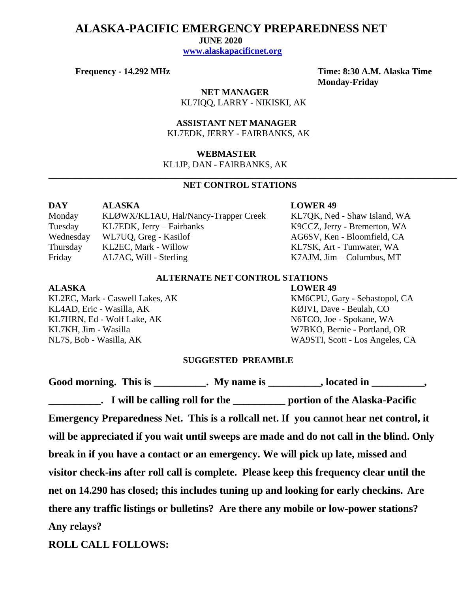## **ALASKA-PACIFIC EMERGENCY PREPAREDNESS NET**

 **JUNE 2020**

 **[www.alaskapacificnet.org](http://www.alaskapacificnet.org/)**

**Frequency - 14.292 MHz Time: 8:30 A.M. Alaska Time Monday-Friday**

> **NET MANAGER** KL7IQQ, LARRY - NIKISKI, AK

 **ASSISTANT NET MANAGER**  KL7EDK, JERRY - FAIRBANKS, AK

#### **WEBMASTER**

KL1JP, DAN - FAIRBANKS, AK

### **NET CONTROL STATIONS**

**\_\_\_\_\_\_\_\_\_\_\_\_\_\_\_\_\_\_\_\_\_\_\_\_\_\_\_\_\_\_\_\_\_\_\_\_\_\_\_\_\_\_\_\_\_\_\_\_\_\_\_\_\_\_\_\_\_\_\_\_\_\_\_\_\_\_\_\_\_\_\_\_\_\_\_\_\_\_\_\_\_\_\_\_\_\_\_\_\_\_\_**

| DAY       | <b>ALASKA</b>                        |
|-----------|--------------------------------------|
| Monday    | KLØWX/KL1AU, Hal/Nancy-Trapper Creek |
| Tuesday   | $KL7EDK$ , Jerry – Fairbanks         |
| Wednesday | WL7UQ, Greg - Kasilof                |
| Thursday  | KL2EC, Mark - Willow                 |
| Friday    | AL7AC, Will - Sterling               |

#### **LOWER 49**

KL7QK, Ned - Shaw Island, WA K9CCZ, Jerry - Bremerton, WA AG6SV, Ken - Bloomfield, CA KL7SK, Art - Tumwater, WA  $K7AJM$ , Jim – Columbus, MT

#### **ALTERNATE NET CONTROL STATIONS**

KL4AD, Eric - Wasilla, AK KØIVI, Dave - Beulah, CO KL7HRN, Ed - Wolf Lake, AK N6TCO, Joe - Spokane, WA KL7KH, Jim - Wasilla W7BKO, Bernie - Portland, OR

# **ALASKA LOWER 49**

KL2EC, Mark - Caswell Lakes, AK KM6CPU, Gary - Sebastopol, CA NL7S, Bob - Wasilla, AK WA9STI, Scott - Los Angeles, CA

#### **SUGGESTED PREAMBLE**

Good morning. This is \_\_\_\_\_\_\_\_\_\_. My name is \_\_\_\_\_\_\_\_\_, located in \_\_\_\_\_\_\_\_\_, **Lacktriang 1 will be calling roll for the <u>Lacktrian contribution</u> portion of the Alaska-Pacific Emergency Preparedness Net. This is a rollcall net. If you cannot hear net control, it will be appreciated if you wait until sweeps are made and do not call in the blind. Only break in if you have a contact or an emergency. We will pick up late, missed and visitor check-ins after roll call is complete. Please keep this frequency clear until the net on 14.290 has closed; this includes tuning up and looking for early checkins. Are there any traffic listings or bulletins? Are there any mobile or low-power stations? Any relays?** 

**ROLL CALL FOLLOWS:**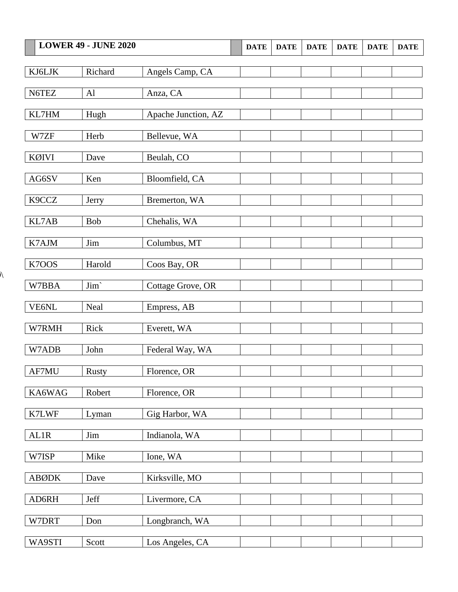| <b>LOWER 49 - JUNE 2020</b> |                       | <b>DATE</b>         | <b>DATE</b> | <b>DATE</b> | <b>DATE</b> | <b>DATE</b> | <b>DATE</b> |  |
|-----------------------------|-----------------------|---------------------|-------------|-------------|-------------|-------------|-------------|--|
|                             |                       |                     |             |             |             |             |             |  |
| KJ6LJK                      | Richard               | Angels Camp, CA     |             |             |             |             |             |  |
| N6TEZ                       | Al                    | Anza, CA            |             |             |             |             |             |  |
|                             |                       |                     |             |             |             |             |             |  |
| KL7HM                       | Hugh                  | Apache Junction, AZ |             |             |             |             |             |  |
| W7ZF                        | Herb                  | Bellevue, WA        |             |             |             |             |             |  |
|                             |                       |                     |             |             |             |             |             |  |
| KØIVI                       | Dave                  | Beulah, CO          |             |             |             |             |             |  |
| AG6SV                       | Ken                   | Bloomfield, CA      |             |             |             |             |             |  |
| K9CCZ                       |                       |                     |             |             |             |             |             |  |
|                             | Jerry                 | Bremerton, WA       |             |             |             |             |             |  |
| KL7AB                       | Bob                   | Chehalis, WA        |             |             |             |             |             |  |
| K7AJM                       | Jim                   | Columbus, MT        |             |             |             |             |             |  |
|                             |                       |                     |             |             |             |             |             |  |
| K7OOS                       | Harold                | Coos Bay, OR        |             |             |             |             |             |  |
| W7BBA                       | Jim`                  | Cottage Grove, OR   |             |             |             |             |             |  |
|                             |                       |                     |             |             |             |             |             |  |
| VE6NL                       | Neal                  | Empress, AB         |             |             |             |             |             |  |
| W7RMH                       | Rick                  | Everett, WA         |             |             |             |             |             |  |
|                             |                       |                     |             |             |             |             |             |  |
| W7ADB                       | John                  | Federal Way, WA     |             |             |             |             |             |  |
| $\operatorname{AF7MU}$      | <b>Rusty</b>          | Florence, OR        |             |             |             |             |             |  |
|                             |                       |                     |             |             |             |             |             |  |
| KA6WAG                      | Robert                | Florence, OR        |             |             |             |             |             |  |
| K7LWF                       | Lyman                 | Gig Harbor, WA      |             |             |             |             |             |  |
|                             |                       |                     |             |             |             |             |             |  |
| AL1R                        | $\mathop{\text{Jim}}$ | Indianola, WA       |             |             |             |             |             |  |
| W7ISP                       | Mike                  | Ione, WA            |             |             |             |             |             |  |
| <b>ABØDK</b>                | Dave                  | Kirksville, MO      |             |             |             |             |             |  |
|                             |                       |                     |             |             |             |             |             |  |
| AD6RH                       | Jeff                  | Livermore, CA       |             |             |             |             |             |  |
| W7DRT                       | Don                   | Longbranch, WA      |             |             |             |             |             |  |
|                             |                       |                     |             |             |             |             |             |  |
| WA9STI                      | Scott                 | Los Angeles, CA     |             |             |             |             |             |  |

 $\lambda$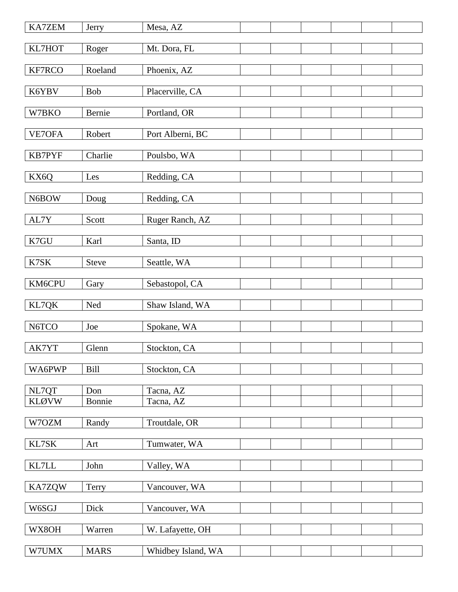| KA7ZEM         | Jerry       | Mesa, AZ           |  |  |  |
|----------------|-------------|--------------------|--|--|--|
| KL7HOT         | Roger       | Mt. Dora, FL       |  |  |  |
| KF7RCO         | Roeland     | Phoenix, AZ        |  |  |  |
|                |             |                    |  |  |  |
| K6YBV          | Bob         | Placerville, CA    |  |  |  |
| W7BKO          | Bernie      | Portland, OR       |  |  |  |
| VE7OFA         | Robert      | Port Alberni, BC   |  |  |  |
| KB7PYF         | Charlie     | Poulsbo, WA        |  |  |  |
|                |             |                    |  |  |  |
| KX6Q           | Les         | Redding, CA        |  |  |  |
| N6BOW          | Doug        | Redding, CA        |  |  |  |
| AL7Y           | Scott       | Ruger Ranch, AZ    |  |  |  |
|                |             |                    |  |  |  |
| K7GU           | Karl        | Santa, ID          |  |  |  |
| K7SK           | Steve       | Seattle, WA        |  |  |  |
| KM6CPU         | Gary        | Sebastopol, CA     |  |  |  |
| KL7QK          | $\rm Ned$   | Shaw Island, WA    |  |  |  |
|                |             |                    |  |  |  |
| N6TCO          | Joe         | Spokane, WA        |  |  |  |
| AK7YT          | Glenn       | Stockton, CA       |  |  |  |
| WA6PWP         | <b>Bill</b> | Stockton, CA       |  |  |  |
| NL7QT          | Don         | Tacna, AZ          |  |  |  |
| <b>KLØVW</b>   | Bonnie      | Tacna, AZ          |  |  |  |
| W7OZM          | Randy       | Troutdale, OR      |  |  |  |
|                |             |                    |  |  |  |
| KL7SK          | Art         | Tumwater, WA       |  |  |  |
| $\text{KL7LL}$ | John        | Valley, WA         |  |  |  |
| <b>KA7ZQW</b>  | Terry       | Vancouver, WA      |  |  |  |
| W6SGJ          | Dick        | Vancouver, WA      |  |  |  |
|                |             |                    |  |  |  |
| WX8OH          | Warren      | W. Lafayette, OH   |  |  |  |
| W7UMX          | <b>MARS</b> | Whidbey Island, WA |  |  |  |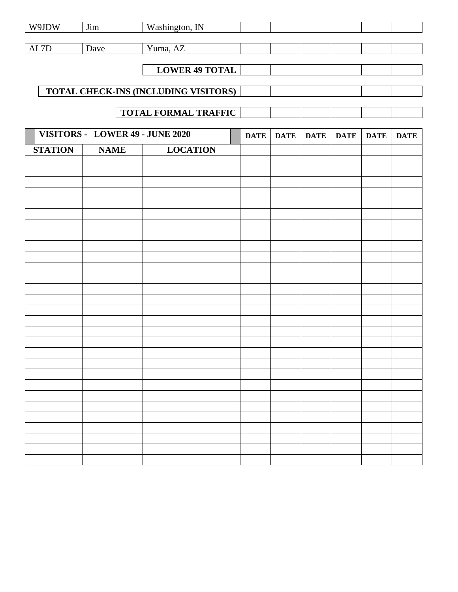| W9JDW                           | Jim         | Washington, IN                       |             |             |             |             |             |             |
|---------------------------------|-------------|--------------------------------------|-------------|-------------|-------------|-------------|-------------|-------------|
| $\mbox{AL7D}$                   | Dave        | Yuma, AZ                             |             |             |             |             |             |             |
|                                 |             |                                      |             |             |             |             |             |             |
|                                 |             | <b>LOWER 49 TOTAL</b>                |             |             |             |             |             |             |
|                                 |             |                                      |             |             |             |             |             |             |
|                                 |             | TOTAL CHECK-INS (INCLUDING VISITORS) |             |             |             |             |             |             |
|                                 |             | <b>TOTAL FORMAL TRAFFIC</b>          |             |             |             |             |             |             |
|                                 |             |                                      |             |             |             |             |             |             |
| VISITORS - LOWER 49 - JUNE 2020 |             |                                      | <b>DATE</b> | <b>DATE</b> | <b>DATE</b> | <b>DATE</b> | <b>DATE</b> | <b>DATE</b> |
| <b>STATION</b>                  | <b>NAME</b> | <b>LOCATION</b>                      |             |             |             |             |             |             |
|                                 |             |                                      |             |             |             |             |             |             |
|                                 |             |                                      |             |             |             |             |             |             |
|                                 |             |                                      |             |             |             |             |             |             |
|                                 |             |                                      |             |             |             |             |             |             |
|                                 |             |                                      |             |             |             |             |             |             |
|                                 |             |                                      |             |             |             |             |             |             |
|                                 |             |                                      |             |             |             |             |             |             |
|                                 |             |                                      |             |             |             |             |             |             |
|                                 |             |                                      |             |             |             |             |             |             |
|                                 |             |                                      |             |             |             |             |             |             |
|                                 |             |                                      |             |             |             |             |             |             |
|                                 |             |                                      |             |             |             |             |             |             |
|                                 |             |                                      |             |             |             |             |             |             |
|                                 |             |                                      |             |             |             |             |             |             |
|                                 |             |                                      |             |             |             |             |             |             |
|                                 |             |                                      |             |             |             |             |             |             |
|                                 |             |                                      |             |             |             |             |             |             |
|                                 |             |                                      |             |             |             |             |             |             |
|                                 |             |                                      |             |             |             |             |             |             |
|                                 |             |                                      |             |             |             |             |             |             |
|                                 |             |                                      |             |             |             |             |             |             |
|                                 |             |                                      |             |             |             |             |             |             |
|                                 |             |                                      |             |             |             |             |             |             |
|                                 |             |                                      |             |             |             |             |             |             |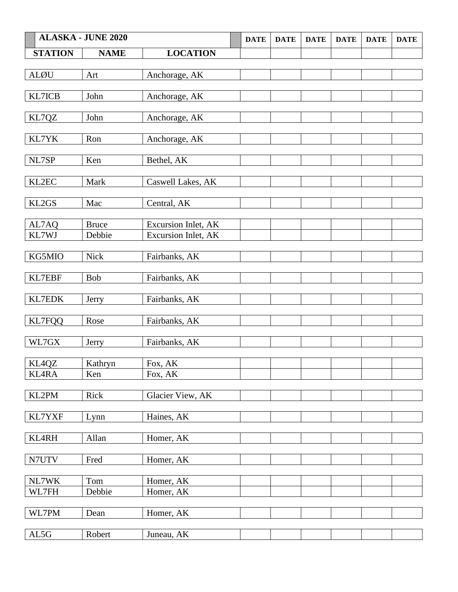|                 | <b>ALASKA - JUNE 2020</b> |                     | <b>DATE</b> | <b>DATE</b> | <b>DATE</b> | <b>DATE</b> | <b>DATE</b> | <b>DATE</b> |
|-----------------|---------------------------|---------------------|-------------|-------------|-------------|-------------|-------------|-------------|
| <b>STATION</b>  | <b>NAME</b>               | <b>LOCATION</b>     |             |             |             |             |             |             |
|                 |                           |                     |             |             |             |             |             |             |
| <b>ALØU</b>     | Art                       | Anchorage, AK       |             |             |             |             |             |             |
|                 |                           |                     |             |             |             |             |             |             |
| KL7ICB          | John                      | Anchorage, AK       |             |             |             |             |             |             |
|                 |                           |                     |             |             |             |             |             |             |
| KL7QZ           | John                      | Anchorage, AK       |             |             |             |             |             |             |
|                 |                           |                     |             |             |             |             |             |             |
| KL7YK           | Ron                       | Anchorage, AK       |             |             |             |             |             |             |
|                 |                           |                     |             |             |             |             |             |             |
| NL7SP           | Ken                       | Bethel, AK          |             |             |             |             |             |             |
|                 |                           |                     |             |             |             |             |             |             |
| KL2EC           | Mark                      | Caswell Lakes, AK   |             |             |             |             |             |             |
|                 |                           |                     |             |             |             |             |             |             |
| KL2GS           | Mac                       | Central, AK         |             |             |             |             |             |             |
|                 |                           |                     |             |             |             |             |             |             |
| AL7AQ           | <b>Bruce</b>              | Excursion Inlet, AK |             |             |             |             |             |             |
| KL7WJ           | Debbie                    | Excursion Inlet, AK |             |             |             |             |             |             |
|                 |                           |                     |             |             |             |             |             |             |
| KG5MIO          | <b>Nick</b>               | Fairbanks, AK       |             |             |             |             |             |             |
|                 |                           |                     |             |             |             |             |             |             |
| <b>KL7EBF</b>   | Bob                       | Fairbanks, AK       |             |             |             |             |             |             |
| <b>KL7EDK</b>   | Jerry                     | Fairbanks, AK       |             |             |             |             |             |             |
|                 |                           |                     |             |             |             |             |             |             |
| KL7FQQ          | Rose                      | Fairbanks, AK       |             |             |             |             |             |             |
|                 |                           |                     |             |             |             |             |             |             |
| WL7GX           | Jerry                     | Fairbanks, AK       |             |             |             |             |             |             |
|                 |                           |                     |             |             |             |             |             |             |
| KL4QZ           | Kathryn                   | Fox, AK             |             |             |             |             |             |             |
| <b>KL4RA</b>    | Ken                       | Fox, AK             |             |             |             |             |             |             |
|                 |                           |                     |             |             |             |             |             |             |
| KL2PM           | Rick                      | Glacier View, AK    |             |             |             |             |             |             |
|                 |                           |                     |             |             |             |             |             |             |
| KL7YXF          | Lynn                      | Haines, AK          |             |             |             |             |             |             |
|                 |                           |                     |             |             |             |             |             |             |
| KL4RH           | Allan                     | Homer, AK           |             |             |             |             |             |             |
|                 |                           |                     |             |             |             |             |             |             |
| N7UTV           | Fred                      | Homer, AK           |             |             |             |             |             |             |
|                 |                           |                     |             |             |             |             |             |             |
| NL7WK           | Tom                       | Homer, AK           |             |             |             |             |             |             |
| WL7FH           | Debbie                    | Homer, AK           |             |             |             |             |             |             |
|                 |                           |                     |             |             |             |             |             |             |
| WL7PM           | Dean                      | Homer, AK           |             |             |             |             |             |             |
|                 |                           |                     |             |             |             |             |             |             |
| $\mathrm{AL5G}$ | Robert                    | Juneau, AK          |             |             |             |             |             |             |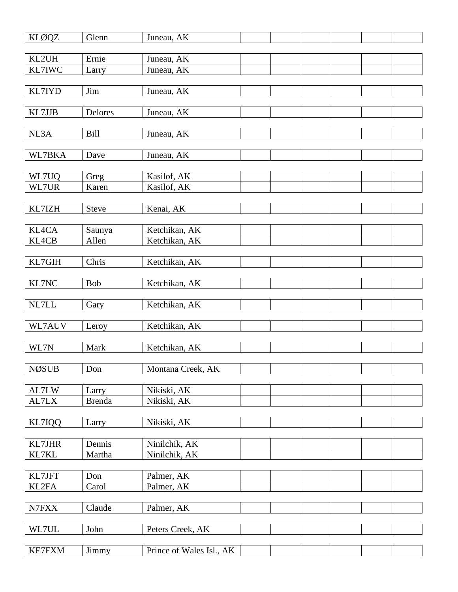| <b>KLØQZ</b>    | Glenn            | Juneau, AK                     |  |  |  |
|-----------------|------------------|--------------------------------|--|--|--|
| KL2UH           | Ernie            | Juneau, AK                     |  |  |  |
| KL7IWC          | Larry            | Juneau, AK                     |  |  |  |
|                 |                  |                                |  |  |  |
| KL7IYD          | Jim              | Juneau, AK                     |  |  |  |
| KL7JJB          | Delores          | Juneau, AK                     |  |  |  |
| NL3A            | Bill             |                                |  |  |  |
|                 |                  | Juneau, AK                     |  |  |  |
| WL7BKA          | Dave             | Juneau, AK                     |  |  |  |
| WL7UQ           |                  |                                |  |  |  |
| WL7UR           | Greg<br>Karen    | Kasilof, AK<br>Kasilof, AK     |  |  |  |
|                 |                  |                                |  |  |  |
| KL7IZH          | <b>Steve</b>     | Kenai, AK                      |  |  |  |
| KL4CA           | Saunya           | Ketchikan, AK                  |  |  |  |
| KL4CB           | Allen            | Ketchikan, AK                  |  |  |  |
|                 |                  |                                |  |  |  |
| KL7GIH          | Chris            | Ketchikan, AK                  |  |  |  |
| KL7NC           | Bob              | Ketchikan, AK                  |  |  |  |
|                 |                  |                                |  |  |  |
|                 |                  |                                |  |  |  |
| $\it NL7LL$     | Gary             | Ketchikan, AK                  |  |  |  |
| WL7AUV          | Leroy            | Ketchikan, AK                  |  |  |  |
|                 |                  |                                |  |  |  |
| WL7N            | Mark             | Ketchikan, AK                  |  |  |  |
| <b>NØSUB</b>    | Don              | Montana Creek, AK              |  |  |  |
|                 |                  |                                |  |  |  |
| AL7LW           | Larry            | Nikiski, AK                    |  |  |  |
| AL7LX           | <b>Brenda</b>    | Nikiski, AK                    |  |  |  |
| KL7IQQ          | Larry            | Nikiski, AK                    |  |  |  |
|                 |                  |                                |  |  |  |
| KL7JHR<br>KL7KL | Dennis<br>Martha | Ninilchik, AK<br>Ninilchik, AK |  |  |  |
|                 |                  |                                |  |  |  |
| KL7JFT          | Don              | Palmer, AK                     |  |  |  |
| KL2FA           | Carol            | Palmer, AK                     |  |  |  |
| N7FXX           | Claude           | Palmer, AK                     |  |  |  |
|                 |                  |                                |  |  |  |
| WL7UL           | John             | Peters Creek, AK               |  |  |  |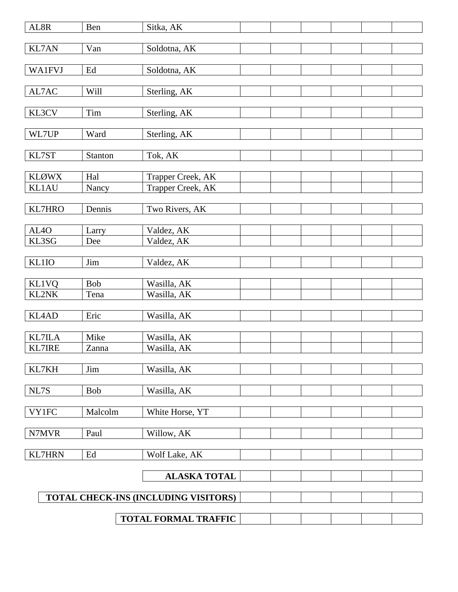| AL8R              | Ben        | Sitka, AK                            |  |  |  |
|-------------------|------------|--------------------------------------|--|--|--|
| KL7AN             | Van        | Soldotna, AK                         |  |  |  |
|                   |            |                                      |  |  |  |
| <b>WA1FVJ</b>     | Ed         | Soldotna, AK                         |  |  |  |
| AL7AC             | Will       | Sterling, AK                         |  |  |  |
|                   |            |                                      |  |  |  |
| KL3CV             | $\rm Tim$  | Sterling, AK                         |  |  |  |
| WL7UP             | Ward       | Sterling, AK                         |  |  |  |
|                   |            |                                      |  |  |  |
| KL7ST             | Stanton    | Tok, AK                              |  |  |  |
| <b>KLØWX</b>      | Hal        | Trapper Creek, AK                    |  |  |  |
| KL1AU             | Nancy      | Trapper Creek, AK                    |  |  |  |
|                   |            |                                      |  |  |  |
| KL7HRO            | Dennis     | Two Rivers, AK                       |  |  |  |
|                   |            |                                      |  |  |  |
| AL <sub>4</sub> O | Larry      | Valdez, AK                           |  |  |  |
| KL3SG             | Dee        | Valdez, AK                           |  |  |  |
|                   |            |                                      |  |  |  |
| KL1IO             | Jim        | Valdez, AK                           |  |  |  |
| <b>KL1VQ</b>      | Bob        | Wasilla, AK                          |  |  |  |
| KL2NK             | Tena       | Wasilla, AK                          |  |  |  |
|                   |            |                                      |  |  |  |
| KL4AD             | Eric       | Wasilla, AK                          |  |  |  |
|                   |            |                                      |  |  |  |
| <b>KL7ILA</b>     | Mike       | Wasilla, AK                          |  |  |  |
| <b>KL7IRE</b>     | Zanna      | Wasilla, AK                          |  |  |  |
|                   |            |                                      |  |  |  |
| KL7KH             | Jim        | Wasilla, AK                          |  |  |  |
| NL7S              | <b>Bob</b> | Wasilla, AK                          |  |  |  |
|                   |            |                                      |  |  |  |
| <b>VY1FC</b>      | Malcolm    | White Horse, YT                      |  |  |  |
|                   |            |                                      |  |  |  |
| N7MVR             | Paul       | Willow, AK                           |  |  |  |
|                   |            |                                      |  |  |  |
| <b>KL7HRN</b>     | Ed         | Wolf Lake, AK                        |  |  |  |
|                   |            | <b>ALASKA TOTAL</b>                  |  |  |  |
|                   |            |                                      |  |  |  |
|                   |            | TOTAL CHECK-INS (INCLUDING VISITORS) |  |  |  |
|                   |            |                                      |  |  |  |
|                   |            | TOTAL FORMAL TRAFFIC                 |  |  |  |